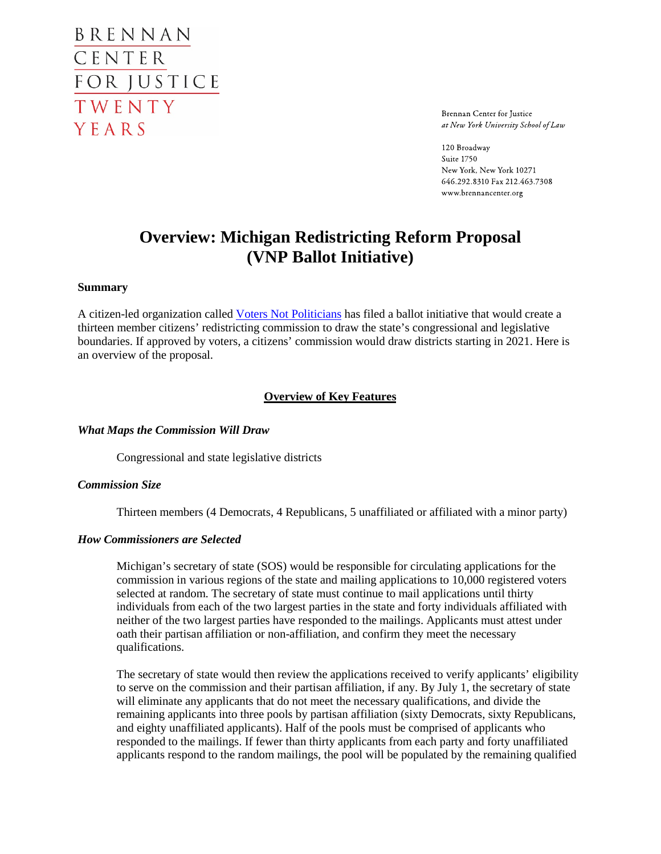BRENNAN CENTER FOR JUSTICE TWENTY YEARS

Brennan Center for Justice at New York University School of Law

120 Broadway Suite 1750 New York, New York 10271 646.292.8310 Fax 212.463.7308 www.brennancenter.org

# **Overview: Michigan Redistricting Reform Proposal (VNP Ballot Initiative)**

#### **Summary**

A citizen-led organization called [Voters Not Politicians](http://www.votersnotpoliticians.com/) has filed a ballot initiative that would create a thirteen member citizens' redistricting commission to draw the state's congressional and legislative boundaries. If approved by voters, a citizens' commission would draw districts starting in 2021. Here is an overview of the proposal.

#### **Overview of Key Features**

*What Maps the Commission Will Draw*

Congressional and state legislative districts

#### *Commission Size*

Thirteen members (4 Democrats, 4 Republicans, 5 unaffiliated or affiliated with a minor party)

#### *How Commissioners are Selected*

Michigan's secretary of state (SOS) would be responsible for circulating applications for the commission in various regions of the state and mailing applications to 10,000 registered voters selected at random. The secretary of state must continue to mail applications until thirty individuals from each of the two largest parties in the state and forty individuals affiliated with neither of the two largest parties have responded to the mailings. Applicants must attest under oath their partisan affiliation or non-affiliation, and confirm they meet the necessary qualifications.

The secretary of state would then review the applications received to verify applicants' eligibility to serve on the commission and their partisan affiliation, if any. By July 1, the secretary of state will eliminate any applicants that do not meet the necessary qualifications, and divide the remaining applicants into three pools by partisan affiliation (sixty Democrats, sixty Republicans, and eighty unaffiliated applicants). Half of the pools must be comprised of applicants who responded to the mailings. If fewer than thirty applicants from each party and forty unaffiliated applicants respond to the random mailings, the pool will be populated by the remaining qualified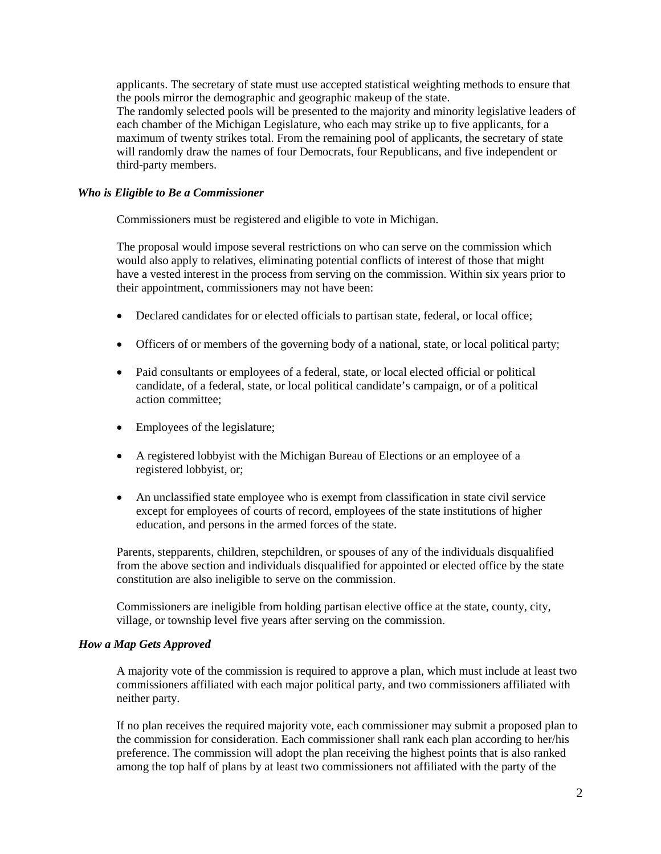applicants. The secretary of state must use accepted statistical weighting methods to ensure that the pools mirror the demographic and geographic makeup of the state. The randomly selected pools will be presented to the majority and minority legislative leaders of each chamber of the Michigan Legislature, who each may strike up to five applicants, for a maximum of twenty strikes total. From the remaining pool of applicants, the secretary of state will randomly draw the names of four Democrats, four Republicans, and five independent or third-party members.

### *Who is Eligible to Be a Commissioner*

Commissioners must be registered and eligible to vote in Michigan.

The proposal would impose several restrictions on who can serve on the commission which would also apply to relatives, eliminating potential conflicts of interest of those that might have a vested interest in the process from serving on the commission. Within six years prior to their appointment, commissioners may not have been:

- Declared candidates for or elected officials to partisan state, federal, or local office;
- Officers of or members of the governing body of a national, state, or local political party;
- Paid consultants or employees of a federal, state, or local elected official or political candidate, of a federal, state, or local political candidate's campaign, or of a political action committee;
- Employees of the legislature;
- A registered lobbyist with the Michigan Bureau of Elections or an employee of a registered lobbyist, or;
- An unclassified state employee who is exempt from classification in state civil service except for employees of courts of record, employees of the state institutions of higher education, and persons in the armed forces of the state.

Parents, stepparents, children, stepchildren, or spouses of any of the individuals disqualified from the above section and individuals disqualified for appointed or elected office by the state constitution are also ineligible to serve on the commission.

Commissioners are ineligible from holding partisan elective office at the state, county, city, village, or township level five years after serving on the commission.

#### *How a Map Gets Approved*

A majority vote of the commission is required to approve a plan, which must include at least two commissioners affiliated with each major political party, and two commissioners affiliated with neither party.

If no plan receives the required majority vote, each commissioner may submit a proposed plan to the commission for consideration. Each commissioner shall rank each plan according to her/his preference. The commission will adopt the plan receiving the highest points that is also ranked among the top half of plans by at least two commissioners not affiliated with the party of the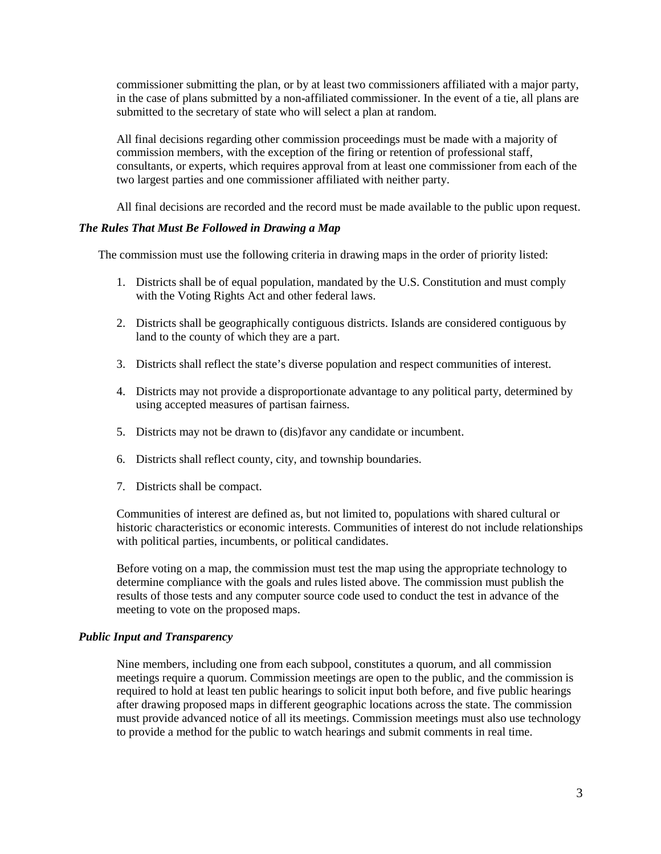commissioner submitting the plan, or by at least two commissioners affiliated with a major party, in the case of plans submitted by a non-affiliated commissioner. In the event of a tie, all plans are submitted to the secretary of state who will select a plan at random.

All final decisions regarding other commission proceedings must be made with a majority of commission members, with the exception of the firing or retention of professional staff, consultants, or experts, which requires approval from at least one commissioner from each of the two largest parties and one commissioner affiliated with neither party.

All final decisions are recorded and the record must be made available to the public upon request.

#### *The Rules That Must Be Followed in Drawing a Map*

The commission must use the following criteria in drawing maps in the order of priority listed:

- 1. Districts shall be of equal population, mandated by the U.S. Constitution and must comply with the Voting Rights Act and other federal laws.
- 2. Districts shall be geographically contiguous districts. Islands are considered contiguous by land to the county of which they are a part.
- 3. Districts shall reflect the state's diverse population and respect communities of interest.
- 4. Districts may not provide a disproportionate advantage to any political party, determined by using accepted measures of partisan fairness.
- 5. Districts may not be drawn to (dis)favor any candidate or incumbent.
- 6. Districts shall reflect county, city, and township boundaries.
- 7. Districts shall be compact.

Communities of interest are defined as, but not limited to, populations with shared cultural or historic characteristics or economic interests. Communities of interest do not include relationships with political parties, incumbents, or political candidates.

Before voting on a map, the commission must test the map using the appropriate technology to determine compliance with the goals and rules listed above. The commission must publish the results of those tests and any computer source code used to conduct the test in advance of the meeting to vote on the proposed maps.

#### *Public Input and Transparency*

Nine members, including one from each subpool, constitutes a quorum, and all commission meetings require a quorum. Commission meetings are open to the public, and the commission is required to hold at least ten public hearings to solicit input both before, and five public hearings after drawing proposed maps in different geographic locations across the state. The commission must provide advanced notice of all its meetings. Commission meetings must also use technology to provide a method for the public to watch hearings and submit comments in real time.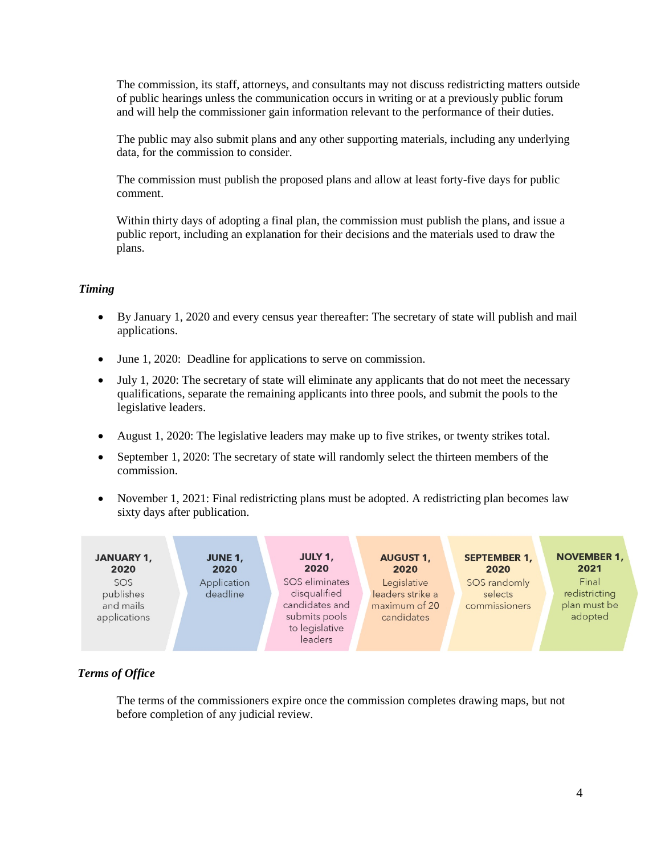The commission, its staff, attorneys, and consultants may not discuss redistricting matters outside of public hearings unless the communication occurs in writing or at a previously public forum and will help the commissioner gain information relevant to the performance of their duties.

The public may also submit plans and any other supporting materials, including any underlying data, for the commission to consider.

The commission must publish the proposed plans and allow at least forty-five days for public comment.

Within thirty days of adopting a final plan, the commission must publish the plans, and issue a public report, including an explanation for their decisions and the materials used to draw the plans.

## *Timing*

- By January 1, 2020 and every census year thereafter: The secretary of state will publish and mail applications.
- June 1, 2020: Deadline for applications to serve on commission.
- July 1, 2020: The secretary of state will eliminate any applicants that do not meet the necessary qualifications, separate the remaining applicants into three pools, and submit the pools to the legislative leaders.
- August 1, 2020: The legislative leaders may make up to five strikes, or twenty strikes total.
- September 1, 2020: The secretary of state will randomly select the thirteen members of the commission.
- November 1, 2021: Final redistricting plans must be adopted. A redistricting plan becomes law sixty days after publication.



# *Terms of Office*

The terms of the commissioners expire once the commission completes drawing maps, but not before completion of any judicial review.